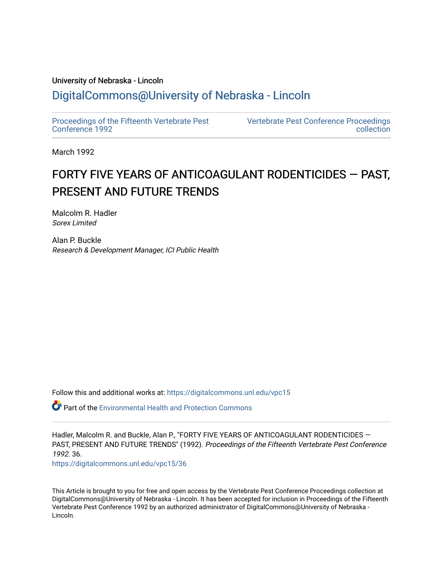# University of Nebraska - Lincoln [DigitalCommons@University of Nebraska - Lincoln](https://digitalcommons.unl.edu/)

[Proceedings of the Fifteenth Vertebrate Pest](https://digitalcommons.unl.edu/vpc15)  [Conference 1992](https://digitalcommons.unl.edu/vpc15) 

[Vertebrate Pest Conference Proceedings](https://digitalcommons.unl.edu/vpccollection)  [collection](https://digitalcommons.unl.edu/vpccollection) 

March 1992

# FORTY FIVE YEARS OF ANTICOAGULANT RODENTICIDES  $-$  PAST, PRESENT AND FUTURE TRENDS

Malcolm R. Hadler Sorex Limited

Alan P. Buckle Research & Development Manager, ICI Public Health

Follow this and additional works at: [https://digitalcommons.unl.edu/vpc15](https://digitalcommons.unl.edu/vpc15?utm_source=digitalcommons.unl.edu%2Fvpc15%2F36&utm_medium=PDF&utm_campaign=PDFCoverPages) 

 $\bullet$  Part of the Environmental Health and Protection Commons

Hadler, Malcolm R. and Buckle, Alan P., "FORTY FIVE YEARS OF ANTICOAGULANT RODENTICIDES -PAST, PRESENT AND FUTURE TRENDS" (1992). Proceedings of the Fifteenth Vertebrate Pest Conference 1992. 36.

[https://digitalcommons.unl.edu/vpc15/36](https://digitalcommons.unl.edu/vpc15/36?utm_source=digitalcommons.unl.edu%2Fvpc15%2F36&utm_medium=PDF&utm_campaign=PDFCoverPages) 

This Article is brought to you for free and open access by the Vertebrate Pest Conference Proceedings collection at DigitalCommons@University of Nebraska - Lincoln. It has been accepted for inclusion in Proceedings of the Fifteenth Vertebrate Pest Conference 1992 by an authorized administrator of DigitalCommons@University of Nebraska - Lincoln.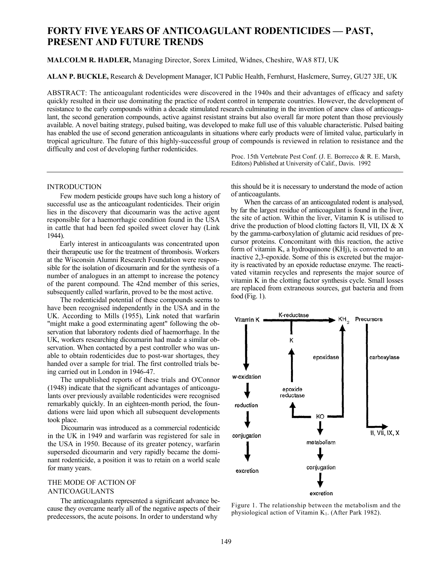# **FORTY FIVE YEARS OF ANTICOAGULANT RODENTICIDES — PAST, PRESENT AND FUTURE TRENDS**

**MALCOLM R. HADLER,** Managing Director, Sorex Limited, Widnes, Cheshire, WA8 8TJ, UK

**ALAN P. BUCKLE,** Research & Development Manager, ICI Public Health, Fernhurst, Haslcmere, Surrey, GU27 3JE, UK

ABSTRACT: The anticoagulant rodenticides were discovered in the 1940s and their advantages of efficacy and safety quickly resulted in their use dominating the practice of rodent control in temperate countries. However, the development of resistance to the early compounds within a decade stimulated research culminating in the invention of anew class of anticoagulant, the second generation compounds, active against resistant strains but also overall far more potent than those previously available. A novel baiting strategy, pulsed baiting, was developed to make full use of this valuable characteristic. Pulsed baiting has enabled the use of second generation anticoagulants in situations where early products were of limited value, particularly in tropical agriculture. The future of this highly-successful group of compounds is reviewed in relation to resistance and the difficulty and cost of developing further rodenticides.

> Proc. 15th Vertebrate Pest Conf. (J. E. Borrecco & R. E. Marsh, Editors) Published at University of Calif., Davis. 1992

## INTRODUCTION

Few modern pesticide groups have such long a history of successful use as the anticoagulant rodenticides. Their origin lies in the discovery that dicoumarin was the active agent responsible for a haemorrhagic condition found in the USA in cattle that had been fed spoiled sweet clover hay (Link 1944).

Early interest in anticoagulants was concentrated upon their therapeutic use for the treatment of thrombosis. Workers at the Wisconsin Alumni Research Foundation were responsible for the isolation of dicoumarin and for the synthesis of a number of analogues in an attempt to increase the potency of the parent compound. The 42nd member of this series, subsequently called warfarin, proved to be the most active.

The rodenticidal potential of these compounds seems to have been recognised independently in the USA and in the UK. According to Mills (1955), Link noted that warfarin "might make a good exterminating agent" following the observation that laboratory rodents died of haemorrhage. In the UK, workers researching dicoumarin had made a similar observation. When contacted by a pest controller who was unable to obtain rodenticides due to post-war shortages, they handed over a sample for trial. The first controlled trials being carried out in London in 1946-47.

The unpublished reports of these trials and O'Connor (1948) indicate that the significant advantages of anticoagulants over previously available rodenticides were recognised remarkably quickly. In an eighteen-month period, the foundations were laid upon which all subsequent developments took place.

Dicoumarin was introduced as a commercial rodenticidc in the UK in 1949 and warfarin was registered for sale in the USA in 1950. Because of its greater potency, warfarin superseded dicoumarin and very rapidly became the dominant rodenticide, a position it was to retain on a world scale for many years.

# THE MODE OF ACTION OF ANTICOAGULANTS

The anticoagulants represented a significant advance because they overcame nearly all of the negative aspects of their predecessors, the acute poisons. In order to understand why

this should be it is necessary to understand the mode of action of anticoagulants.

When the carcass of an anticoagulated rodent is analysed, by far the largest residue of anticoagulant is found in the liver, the site of action. Within the liver, Vitamin K is utilised to drive the production of blood clotting factors II, VII, IX & X by the gamma-carboxylation of glutamic acid residues of precursor proteins. Concomitant with this reaction, the active form of vitamin K, a hydroquinone (KHj), is converted to an inactive 2,3-epoxide. Some of this is excreted but the majority is reactivated by an epoxide reductase enzyme. The reactivated vitamin recycles and represents the major source of vitamin K in the clotting factor synthesis cycle. Small losses are replaced from extraneous sources, gut bacteria and from food (Fig. 1).



Figure 1. The relationship between the metabolism and the physiological action of Vitamin  $K_1$ . (After Park 1982).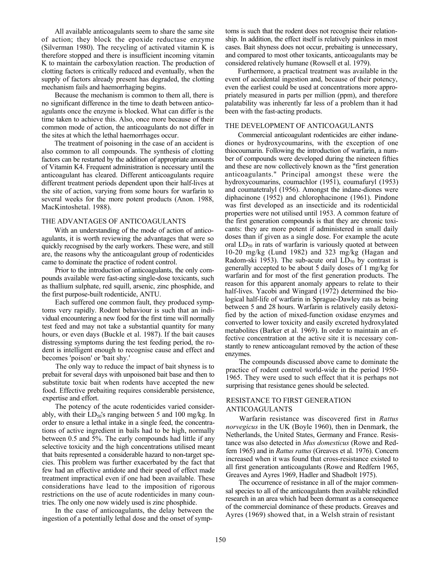All available anticoagulants seem to share the same site of action; they block the epoxide reductase enzyme (Silverman 1980). The recycling of activated vitamin K is therefore stopped and there is insufficient incoming vitamin K to maintain the carboxylation reaction. The production of clotting factors is critically reduced and eventually, when the supply of factors already present has degraded, the clotting mechanism fails and haemorrhaging begins.

Because the mechanism is common to them all, there is no significant difference in the time to death between anticoagulants once the enzyme is blocked. What can differ is the time taken to achieve this. Also, once more because of their common mode of action, the anticoagulants do not differ in the sites at which the lethal haemorrhages occur.

The treatment of poisoning in the case of an accident is also common to all compounds. The synthesis of clotting factors can be restarted by the addition of appropriate amounts of Vitamin K4. Frequent administration is necessary until the anticoagulant has cleared. Different anticoagulants require different treatment periods dependent upon their half-lives at the site of action, varying from some hours for warfarin to several weeks for the more potent products (Anon. 1988, MacKintoshetal. 1988).

### THE ADVANTAGES OF ANTICOAGULANTS

With an understanding of the mode of action of anticoagulants, it is worth reviewing the advantages that were so quickly recognised by the early workers. These were, and still are, the reasons why the anticoagulant group of rodenticides came to dominate the practice of rodent control.

Prior to the introduction of anticoagulants, the only compounds available were fast-acting single-dose toxicants, such as thallium sulphate, red squill, arsenic, zinc phosphide, and the first purpose-built rodenticide, ANTU.

Each suffered one common fault, they produced symptoms very rapidly. Rodent behaviour is such that an individual encountering a new food for the first time will normally test feed and may not take a substantial quantity for many hours, or even days (Buckle et al. 1987). If the bait causes distressing symptoms during the test feeding period, the rodent is intelligent enough to recognise cause and effect and becomes 'poison' or 'bait shy.'

The only way to reduce the impact of bait shyness is to prebait for several days with unpoisoned bait base and then to substitute toxic bait when rodents have accepted the new food. Effective prebaiting requires considerable persistence, expertise and effort.

The potency of the acute rodenticides varied considerably, with their  $LD_{50}$ 's ranging between 5 and 100 mg/kg. In order to ensure a lethal intake in a single feed, the concentrations of active ingredient in bails had to be high, normally between 0.5 and 5%. The early compounds had little if any selective toxicity and the high concentrations utilised meant that baits represented a considerable hazard to non-target species. This problem was further exacerbated by the fact that few had an effective antidote and their speed of effect made treatment impractical even if one had been available. These considerations have lead to the imposition of rigorous restrictions on the use of acute rodenticides in many countries. The only one now widely used is zinc phosphide.

In the case of anticoagulants, the delay between the ingestion of a potentially lethal dose and the onset of symptoms is such that the rodent does not recognise their relationship. In addition, the effect itself is relatively painless in most cases. Bait shyness does not occur, prebaiting is unnecessary, and compared to most other toxicants, anticoagulants may be considered relatively humane (Rowsell et al. 1979).

Furthermore, a practical treatment was available in the event of accidental ingestion and, because of their potency, even the earliest could be used at concentrations more appropriately measured in parts per million (ppm), and therefore palatability was inherently far less of a problem than it had been with the fast-acting products.

#### THE DEVELOPMENT OF ANTICOAGULANTS

Commercial anticoagulant rodenticides are either indanediones or hydroxycoumarins, with the exception of one thiocoumarin. Following the introduction of warfarin, a number of compounds were developed during the nineteen fifties and these are now collectively known as the "first generation anticoagulants." Principal amongst these were the hydroxycoumarins, coumachlor (1951), coumafuryl (1953) and coumatetralyl (1956). Amongst the indane-diones were diphacinone (1952) and chlorophacinone (1961). Pindone was first developed as an insecticide and its rodenticidal properties were not utilised until 1953. A common feature of the first generation compounds is that they are chronic toxicants: they are more potent if administered in small daily doses than if given as a single dose. For example the acute oral LD<sub>50</sub> in rats of warfarin is variously quoted at between 10-20 mg/kg (Lund 1982) and 323 mg/kg (Hagan and Radom-ski 1953). The sub-acute oral  $LD_{50}$  by contrast is generally accepted to be about 5 daily doses of 1 mg/kg for warfarin and for most of the first generation products. The reason for this apparent anomaly appears to relate to their half-lives. Yacobi and Wingard (1972) determined the biological half-life of warfarin in Sprague-Dawley rats as being between 5 and 28 hours. Warfarin is relatively easily detoxified by the action of mixed-function oxidase enzymes and converted to lower toxicity and easily excreted hydroxylated metabolites (Barker et al. 1969). In order to maintain an effective concentration at the active site it is necessary constantly to renew anticoagulant removed by the action of these enzymes.

The compounds discussed above came to dominate the practice of rodent control world-wide in the period 1950- 1965. They were used to such effect that it is perhaps not surprising that resistance genes should be selected.

# RESISTANCE TO FIRST GENERATION ANTICOAGULANTS

Warfarin resistance was discovered first in *Rattus norvegicus* in the UK (Boyle 1960), then in Denmark, the Netherlands, the United States, Germany and France. Resistance was also detected in *Mus domesticus* (Rowe and Redfern 1965) and in *Rattus rattus* (Greaves et al. 1976). Concern increased when it was found that cross-resistance existed to all first generation anticoagulants (Rowe and Redfern 1965, Greaves and Ayres 1969, Hadler and Shadbolt 1975).

The occurrence of resistance in all of the major commensal species to all of the anticoagulants then available rekindled research in an area which had been dormant as a consequence of the commercial dominance of these products. Greaves and Ayres (1969) showed that, in a Welsh strain of resistant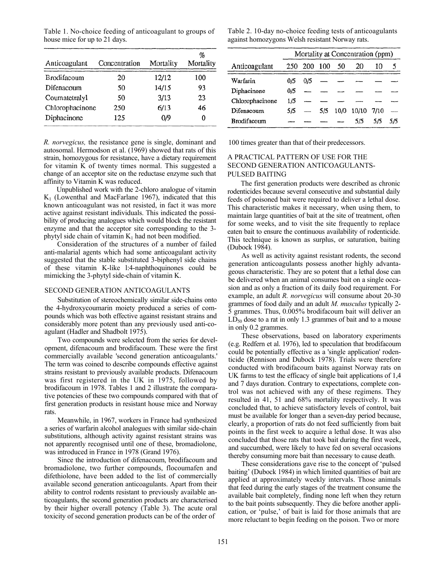Table 1. No-choice feeding of anticoagulant to groups of house mice for up to 21 days.

| Anticoagulant      | Concentration | Mortality | $\%$<br>Mortality |
|--------------------|---------------|-----------|-------------------|
| <b>Brodifacoum</b> | 20            | 12/12     | 100               |
| Difenacoum         | 50            | 14/15     | 93                |
| Coumatetralyl      | 50            | 3/13      | 23                |
| Chlorophacinone    | 250           | 6/13      | 46                |
| Diphacinone        | 125           | 0/9       | 0                 |

*R. norvegicus,* the resistance gene is single, dominant and autosomal. Hermodson et al. (1969) showed that rats of this strain, homozygous for resistance, have a dietary requirement for vitamin K of twenty times normal. This suggested a change of an acceptor site on the reductase enzyme such that affinity to Vitamin K was reduced.

Unpublished work with the 2-chloro analogue of vitamin  $K_1$  (Lowenthal and MacFarlane 1967), indicated that this known anticoagulant was not resisted, in fact it was more active against resistant individuals. This indicated the possibility of producing analogues which would block the resistant enzyme and that the acceptor site corresponding to the 3 phytyl side chain of vitamin  $K_1$  had not been modified.

Consideration of the structures of a number of failed anti-malarial agents which had some anticoagulant activity suggested that the stable substituted 3-biphenyl side chains of these vitamin K-like l:4-naphthoquinones could be mimicking the 3-phytyl side-chain of vitamin K.

## SECOND GENERATION ANTICOAGULANTS

Substitution of stereochemically similar side-chains onto the 4-hydroxycoumarin moiety produced a series of compounds which was both effective against resistant strains and considerably more potent than any previously used anti-coagulant (Hadler and Shadbolt 1975).

Two compounds were selected from the series for development, difenacoum and brodifacoum. These were the first commercially available 'second generation anticoagulants.' The term was coined to describe compounds effective against strains resistant to previously available products. Difenacoum was first registered in the UK in 1975, followed by brodifacoum in 1978. Tables 1 and 2 illustrate the comparative potencies of these two compounds compared with that of first generation products in resistant house mice and Norway rats.

Meanwhile, in 1967, workers in France had synthesized a series of warfarin alcohol analogues with similar side-chain substitutions, although activity against resistant strains was not apparently recognised until one of these, bromadiolone, was introduced in France in 1978 (Grand 1976).

Since the introduction of difenacoum, brodifacoum and bromadiolone, two further compounds, flocoumafen and difethiolone, have been added to the list of commercially available second generation anticoagulants. Apart from their ability to control rodents resistant to previously available anticoagulants, the second generation products are characterised by their higher overall potency (Table 3). The acute oral toxicity of second generation products can be of the order of

Table 2. 10-day no-choice feeding tests of anticoagulants against homozygons Welsh resistant Norway rats.

|                 | Mortality at Concentration (ppm) |             |     |      |       |      |     |
|-----------------|----------------------------------|-------------|-----|------|-------|------|-----|
| Anticoagulant   |                                  | 250 200 100 |     | -50  | 20    | 10   | 5   |
| Warfarin        | 0/5                              | 0/5         |     |      |       |      |     |
| Diphacinone     | 0/5                              |             |     |      |       |      |     |
| Chlorophacinone | 1/5                              |             |     |      |       |      |     |
| Difenacoum      | 5/5                              |             | 5/5 | 10/0 | 10/10 | 7/10 |     |
| Brodifacoum     |                                  |             |     |      | 5/5   | 5/5  | 5/5 |

100 times greater than that of their predecessors.

# A PRACTICAL PATTERN OF USE FOR THE SECOND GENERATION ANTICOAGULANTS-PULSED BAITING

The first generation products were described as chronic rodenticides because several consecutive and substantial daily feeds of poisoned bait were required to deliver a lethal dose. This characteristic makes it necessary, when using them, to maintain large quantities of bait at the site of treatment, often for some weeks, and to visit the site frequently to replace eaten bait to ensure the continuous availability of rodenticide. This technique is known as surplus, or saturation, baiting (Dubock 1984).

As well as activity against resistant rodents, the second generation anticoagulants possess another highly advantageous characteristic. They are so potent that a lethal dose can be delivered when an animal consumes bait on a single occasion and as only a fraction of its daily food requirement. For example, an adult *R. norvegicus* will consume about 20-30 grammes of food daily and an adult *M. musculus* typically 2- 5 grammes. Thus, 0.005% brodifacoum bait will deliver an  $LD_{50}$  dose to a rat in only 1.3 grammes of bait and to a mouse in only 0.2 grammes.

These observations, based on laboratory experiments (e.g. Redfern et al. 1976), led to speculation that brodifacoum could be potentially effective as a 'single application' rodenticide (Rennison and Dubock 1978). Trials were therefore conducted with brodifacoum baits against Norway rats on UK farms to test the efficacy of single bait applications of 1,4 and 7 days duration. Contrary to expectations, complete control was not achieved with any of these regimens. They resulted in 41, 51 and 68% mortality respectively. It was concluded that, to achieve satisfactory levels of control, bait must be available for longer than a seven-day period because, clearly, a proportion of rats do not feed sufficiently from bait points in the first week to acquire a lethal dose. It was also concluded that those rats that took bait during the first week, and succumbed, were likely to have fed on several occasions thereby consuming more bait than necessary to cause death.

These considerations gave rise to the concept of 'pulsed baiting' (Dubock 1984) in which limited quantities of bait are applied at approximately weekly intervals. Those animals that feed during the early stages of the treatment consume the available bait completely, finding none left when they return to the bait points subsequently. They die before another application, or 'pulse,' of bait is laid for those animals that are more reluctant to begin feeding on the poison. Two or more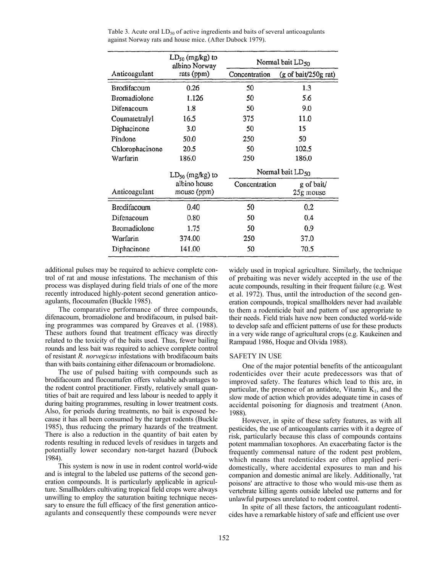|                     | $LD_{50}$ (mg/kg) to<br>albino Norway | Normal bait LD <sub>50</sub> |                                               |  |  |
|---------------------|---------------------------------------|------------------------------|-----------------------------------------------|--|--|
| Anticoagulant       | rats (ppm)                            | Concentration                | $(g \text{ of } \text{bai}/250g \text{ rat})$ |  |  |
| <b>Brodifacoum</b>  | 0.26                                  | 50                           | 1.3                                           |  |  |
| <b>Bromadiolone</b> | 1.126                                 | 50                           | 5.6                                           |  |  |
| Difenacoum          | 1.8                                   | 50                           | 9.0                                           |  |  |
| Coumatetralyl       | 16.5                                  | 375                          | 11.0                                          |  |  |
| Diphacinone         | 3.0                                   | 50                           | 15                                            |  |  |
| Pindone             | 50.0                                  | 250                          | 50                                            |  |  |
| Chlorophacinone     | 20.5                                  | 50                           | 102.5                                         |  |  |
| Warfarin            | 186.0                                 | 250                          | 186.0                                         |  |  |
|                     | $LD_{50}$ (mg/kg) to                  | Normal bait LD <sub>50</sub> |                                               |  |  |
| Anticoagulant       | albino house<br>mouse (ppm)           | Concentration                | g of bait/<br>25g mouse                       |  |  |
| <b>Brodifacoum</b>  | 0.40                                  | 50                           | 0.2                                           |  |  |
| Difenacoum          | 0.80                                  | 50                           | 0.4                                           |  |  |
| <b>Bromadiolone</b> | 1.75                                  | 50                           | 0.9                                           |  |  |
| Warfarin            | 374.00                                | 250                          | 37.0                                          |  |  |
| Diphacinone         | 141.00                                | 50                           | 70.5                                          |  |  |

Table 3. Acute oral  $LD_{50}$  of active ingredients and baits of several anticoagulants against Norway rats and house mice. (After Dubock 1979).

additional pulses may be required to achieve complete control of rat and mouse infestations. The mechanism of this process was displayed during field trials of one of the more recently introduced highly-potent second generation anticoagulants, flocoumafen (Buckle 1985).

The comparative performance of three compounds, difenacoum, bromadiolone and brodifacoum, in pulsed baiting programmes was compared by Greaves et al. (1988). These authors found that treatment efficacy was directly related to the toxicity of the baits used. Thus, fewer bailing rounds and less bait was required to achieve complete control of resistant *R. norvegicus* infestations with brodifacoum baits than with baits containing either difenacoum or bromadiolone.

The use of pulsed baiting with compounds such as brodifacoum and flocoumafen offers valuable advantages to the rodent control practitioner. Firstly, relatively small quantities of bait are required and less labour is needed to apply it during baiting programmes, resulting in lower treatment costs. Also, for periods during treatments, no bait is exposed because it has all been consumed by the target rodents (Buckle 1985), thus reducing the primary hazards of the treatment. There is also a reduction in the quantity of bait eaten by rodents resulting in reduced levels of residues in targets and potentially lower secondary non-target hazard (Dubock 1984).

This system is now in use in rodent control world-wide and is integral to the labeled use patterns of the second generation compounds. It is particularly applicable in agriculture. Smallholders cultivating tropical field crops were always unwilling to employ the saturation baiting technique necessary to ensure the full efficacy of the first generation anticoagulants and consequently these compounds were never

widely used in tropical agriculture. Similarly, the technique of prebaiting was never widely accepted in the use of the acute compounds, resulting in their frequent failure (e.g. West et al. 1972). Thus, until the introduction of the second generation compounds, tropical smallholders never had available to them a rodenticide bait and pattern of use appropriate to their needs. Field trials have now been conducted world-wide to develop safe and efficient patterns of use for these products in a very wide range of agricultural crops (e.g. Kaukeinen and Rampaud 1986, Hoque and Olvida 1988).

#### SAFETY IN USE

One of the major potential benefits of the anticoagulant rodenticides over their acute predecessors was that of improved safety. The features which lead to this are, in particular, the presence of an antidote, Vitamin  $K_1$ , and the slow mode of action which provides adequate time in cases of accidental poisoning for diagnosis and treatment (Anon. 1988).

However, in spite of these safety features, as with all pesticides, the use of anticoagulants carries with it a degree of risk, particularly because this class of compounds contains potent mammalian toxophores. An exacerbating factor is the frequently commensal nature of the rodent pest problem, which means that rodenticides are often applied peridomestically, where accidental exposures to man and his companion and domestic animal are likely. Additionally, 'rat poisons' are attractive to those who would mis-use them as vertebrate killing agents outside labeled use patterns and for unlawful purposes unrelated to rodent control.

In spite of all these factors, the anticoagulant rodenticides have a remarkable history of safe and efficient use over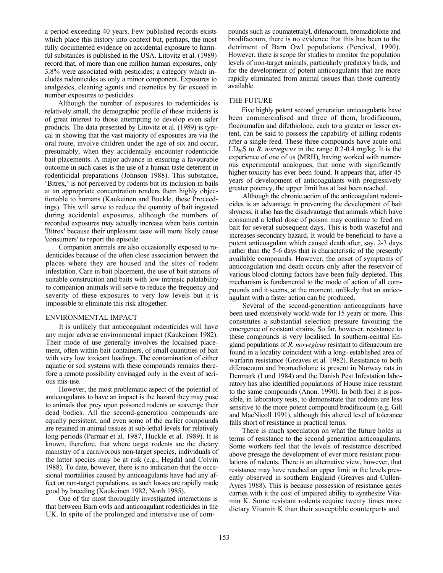a period exceeding 40 years. Few published records exists which place this history into context but, perhaps, the most fully documented evidence on accidental exposure to harmful substances is published in the USA. Litovitz et al. (1989) record that, of more than one million human exposures, only 3.8% were associated with pesticides; a category which includes rodenticides as only a minor component. Exposures to analgesics, cleaning agents and cosmetics by far exceed in number exposures to pesticides.

Although the number of exposures to rodenticides is relatively small, the demographic profile of these incidents is of great interest to those attempting to develop even safer products. The data presented by Litovitz et al. (1989) is typical in showing that the vast majority of exposures are via the oral route, involve children under the age of six and occur, presumably, when they accidentally encounter rodenticide bait placements. A major advance in ensuring a favourable outcome in such cases is the use of a human taste deterrent in rodenticidal preparations (Johnson 1988). This substance, 'Bitrex,' is not perceived by rodents but its inclusion in bails at an appropriate concentration renders them highly objectionable to humans (Kaukeinen and Buckle, these Proceedings). This will serve to reduce the quantity of bait ingested during accidental exposures, although the numbers of recorded exposures may actually increase when baits contain 'Bitrex' because their unpleasant taste will more likely cause 'consumers' to report the episode.

Companion animals are also occasionally exposed to rodenticides because of the often close association between the places where they are housed and the sites of rodent infestation. Care in bait placement, the use of bait stations of suitable construction and baits with low intrinsic palatability to companion animals will serve to reduce the frequency and severity of these exposures to very low levels but it is impossible to eliminate this risk altogether.

### ENVIRONMENTAL IMPACT

It is unlikely that anticoagulant rodenticides will have any major adverse environmental impact (Kaukeinen 1982). Their mode of use generally involves the localised placement, often within bait containers, of small quantities of bait with very low toxicant loadings. The contamination of either aquatic or soil systems with these compounds remains therefore a remote possibility envisaged only in the event of serious mis-use.

However, the most problematic aspect of the potential of anticoagulants to have an impact is the hazard they may pose to animals that prey upon poisoned rodents or scavenge their dead bodies. All the second-generation compounds arc equally persistent, and even some of the earlier compounds are retained in animal tissues at sub-lethal levels for relatively long periods (Parmar et al. 1987, Huckle et al. 1989). It is known, therefore, that where target rodents are the dietary mainstay of a carnivorous non-target species, individuals of the latter species may be at risk (e.g., Hegdal and Colvin 1988). To date, however, there is no indication that the occasional mortalities caused by anticoagulants have had any affect on non-target populations, as such losses are rapidly made good by breeding (Kaukeinen 1982, North 1985).

One of the most thoroughly investigated interactions is that between Barn owls and anticoagulant rodenticides in the UK. In spite of the prolonged and intensive use of compounds such as coumatetralyl, difenacoum, bromadiolone and brodifacoum, there is no evidence that this has been to the detriment of Barn Owl populations (Percival, 1990). However, there is scope for studies to monitor the population levels of non-target animals, particularly predatory birds, and for the development of potent anticoagulants that are more rapidly eliminated from animal tissues than those currently available.

#### THE FUTURE

Five highly potent second generation anticoagulants have been commercialised and three of them, brodifacoum, flocoumafen and difethiolone, each to a greater or lesser extent, can be said to possess the capability of killing rodents after a single feed. These three compounds have acute oral LD50S to *R. norvegicus* in the range 0.2-0.4 mg/kg. It is the experience of one of us (MRH), having worked with numerous experimental analogues, that none with significantly higher toxicity has ever been found. It appears that, after 45 years of development of anticoagulants with progressively greater potency, the upper limit has at last been reached.

Although the chronic action of the anticoagulant rodenticides is an advantage in preventing the development of bait shyness, it also has the disadvantage that animals which have consumed a lethal dose of poison may continue to feed on bait for several subsequent days. This is both wasteful and increases secondary hazard. It would be beneficial to have a potent anticoagulant which caused death after, say, 2-3 days rather than the 5-6 days that is characteristic of the presently available compounds. However, the onset of symptoms of anticoagulation and death occurs only after the reservoir of various blood clotting factors have been fully depleted. This mechanism is fundamental to the mode of action of all compounds and it seems, at the moment, unlikely that an anticoagulant with a faster action can be produced.

Several of the second-generation anticoagulants have been used extensively world-wide for 15 years or more. This constitutes a substantial selection pressure favouring the emergence of resistant strains. So far, however, resistance to these compounds is very localised. In southern-central England populations of *R. norvegicus* resistant to difenacoum are found in a locality coincident with a long- established area of warfarin resistance (Greaves et al. 1982). Resistance to both difenacoum and bromadiolone is present in Norway rats in Denmark (Lund 1984) and the Danish Pest Infestation laboratory has also identified populations of House mice resistant to the same compounds (Anon. 1990). In both foci it is possible, in laboratory tests, to demonstrate that rodents are less sensitive to the more potent compound brodifacoum (e.g. Gill and MacNicoll 1991), although this altered level of tolerance falls short of resistance in practical terms.

There is much speculation on what the future holds in terms of resistance to the second generation anticoagulants. Some workers feel that the levels of resistance described above presage the development of ever more resistant populations of rodents. There is an alternative view, however, that resistance may have reached an upper limit in the levels presently observed in southern England (Greaves and Cullen-Ayres 1988). This is because possession of resistance genes carries with it the cost of impaired ability to synthesize Vitamin K. Some resistant rodents require twenty times more dietary Vitamin K than their susceptible counterparts and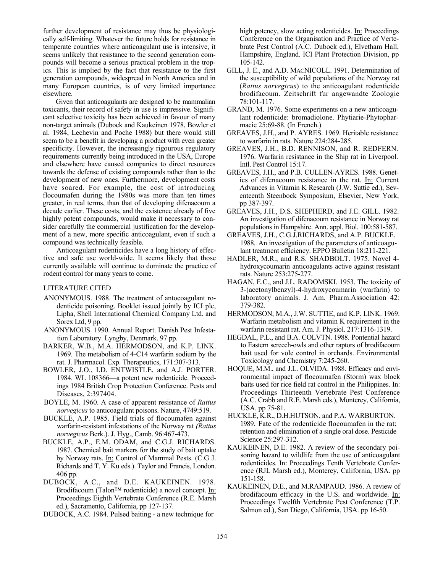further development of resistance may thus be physiologically self-limiting. Whatever the future holds for resistance in temperate countries where anticoagulant use is intensive, it seems unlikely that resistance to the second generation compounds will become a serious practical problem in the tropics. This is implied by the fact that resistance to the first generation compounds, widespread in North America and in many European countries, is of very limited importance elsewhere.

Given that anticoagulants are designed to be mammalian toxicants, their record of safety in use is impressive. Significant selective toxicity has been achieved in favour of many non-target animals (Dubock and Kaukeinen 1978, Bowler et al. 1984, Lechevin and Poche 1988) but there would still seem to be a benefit in developing a product with even greater specificity. However, the increasingly rigourous regulatory requirements currently being introduced in the USA, Europe and elsewhere have caused companies to direct resources towards the defense of existing compounds rather than to the development of new ones. Furthermore, development costs have soared. For example, the cost of introducing flocoumafen during the 1980s was more than ten times greater, in real terms, than that of developing difenacoum a decade earlier. These costs, and the existence already of five highly potent compounds, would make it necessary to consider carefully the commercial justification for the development of a new, more specific anticoagulant, even if such a compound was technically feasible.

Anticoagulant rodenticides have a long history of effective and safe use world-wide. It seems likely that those currently available will continue to dominate the practice of rodent control for many years to come.

# LITERATURE CITED

- ANONYMOUS. 1988. The treatment of antocoagulant rodenticide poisoning. Booklet issued jointly by ICI plc, Lipha, Shell International Chemical Company Ltd. and Sorex Ltd, 9 pp.
- ANONYMOUS. 1990. Annual Report. Danish Pest Infestation Laboratory. Lyngby, Denmark. 97 pp.
- BARKER, W.B., M.A. HERMODSON, and K.P. LINK. 1969. The metabolism of 4-C14 warfarin sodium by the rat. J. Pharmacol. Exp. Therapeutics, 171:307-313.
- BOWLER, J.O., I.D. ENTWISTLE, and A.J. PORTER. 1984. WL 108366—a potent new rodenticide. Proceedings 1984 British Crop Protection Conference. Pests and Diseases, 2:397404.
- BOYLE, M. 1960. A case of apparent resistance of *Rattus norvegicus* to anticoagulant poisons. Nature, 4749:519.
- BUCKLE, A.P. 1985. Field trials of flocoumafen against warfarin-resistant infestations of the Norway rat *(Rattus norvegicus* Berk.). J. Hyg., Camb. 96:467-473.
- BUCKLE, A.P., E.M. ODAM, and C.G.J. RICHARDS. 1987. Chemical bait markers for the study of bait uptake by Norway rats. In: Control of Mammal Pests. (C.G J. Richards and T. Y. Ku eds.). Taylor and Francis, London. 406 pp.
- DUBOCK, A.C., and D.E. KAUKEINEN. 1978. Brodifacoum (Talon™ rodenticide) a novel concept. In: Proceedings Eighth Vertebrate Conference (R.E. Marsh ed.), Sacramento, California, pp 127-137.
- DUBOCK, A.C. 1984. Pulsed baiting a new technique for

high potency, slow acting rodenticides. In: Proceedings Conference on the Organisation and Practice of Vertebrate Pest Control (A.C. Dubock ed.), Elvetham Hall, Hampshire, England. ICI Plant Protection Division, pp 105-142.

- GILL, J. E., and A.D. MACNICOLL. 1991. Determination of the susceptibility of wild populations of the Norway rat (*Rattus norvegicus*) to the anticoagulant rodenticide brodifacoum. Zeitschrift fur angewandte Zoologie 78:101-117.
- GRAND, M. 1976. Some experiments on a new anticoagulant rodenticide: bromadiolone. Phytiarie-Phytopharmacie 25:69-88. (In French.)
- GREAVES, J.H., and P. AYRES. 1969. Heritable resistance to warfarin in rats. Nature 224:284-285.
- GREAVES, J.H., B.D. RENNISON, and R. REDFERN. 1976. Warfarin resistance in the Ship rat in Liverpool. Intl. Pest Control 15:17.
- GREAVES, J.H., and P.B. CULLEN-AYRES. 1988. Genetics of difenacoum resistance in the rat. In: Current Advances in Vitamin K Research (J.W. Suttie ed.), Seventeenth Steenbock Symposium, Elsevier, New York, pp 387-397.
- GREAVES, J.H., D.S. SHEPHERD, and J.E. GILL. 1982. An investigation of difenacoum resistance in Norway rat populations in Hampshire. Ann. appl. Biol. 100:581-587.
- GREAVES, J.H., C.G.J.RICHARDS, and A.P. BUCKLE. 1988. An investigation of the parameters of anticoagulant treatment efficiency. EPPO Bulletin 18:211-221.
- HADLER, M.R., and R.S. SHADBOLT. 1975. Novel 4 hydroxycoumarin anticoagulants active against resistant rats. Nature 253:275-277.
- HAGAN, E.C., and J.L. RADOMSKI. 1953. The toxicity of 3-(acetonylbenzyl)-4-hydroxycoumarin (warfarin) to laboratory animals. J. Am. Pharm.Association 42: 379-382.
- HERMODSON, M.A., J.W. SUTTIE, and K.P. LINK. 1969. Warfarin metabolism and vitamin K requirement in the warfarin resistant rat. Am. J. Physiol. 217:1316-1319.
- HEGDAL, P.L., and B.A. COLVTN. 1988. Pontential hazard to Eastern screech-owls and other raptors of brodifacoum bait used for vole control in orchards. Environmental Toxicology and Chemistry 7:245-260.
- HOQUE, M.M., and J.L. OLVIDA. 1988. Efficacy and environmental impact of flocoumafen (Storm) wax block baits used for rice field rat control in the Philippines.  $In:$ Proceedings Thirteenth Vertebrate Pest Conference (A.C. Crabb and R.E. Marsh eds.), Monterey, California, USA. pp 75-81.
- HUCKLE, K.R., D.H.HUTSON, and P.A. WARBURTON. 1989. Fate of the rodenticide flocoumafen in the rat; retention and elimination of a single oral dose. Pesticide Science 25:297-312.
- KAUKEINEN, D.E. 1982. A review of the secondary poisoning hazard to wildlife from the use of anticoagulant rodenticides. In: Proceedings Tenth Vertebrate Conference (RJL Marsh ed.), Monterey, California, USA. pp 151-158.
- KAUKEINEN, D.E., and M.RAMPAUD. 1986. A review of brodifacoum efficacy in the U.S. and worldwide. In: Proceedings Twelfth Vertebrate Pest Conference (T.P. Salmon ed.), San Diego, California, USA. pp 16-50.